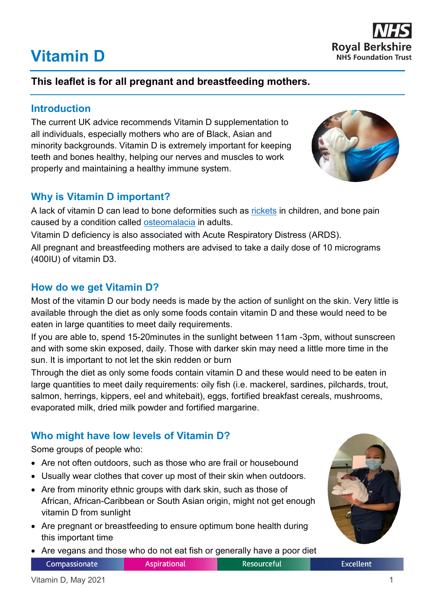# **Vitamin D**



# **This leaflet is for all pregnant and breastfeeding mothers.**

## **Introduction**

The current UK advice recommends Vitamin D supplementation to all individuals, especially mothers who are of Black, Asian and minority backgrounds. Vitamin D is extremely important for keeping teeth and bones healthy, helping our nerves and muscles to work properly and maintaining a healthy immune system.

# **Why is Vitamin D important?**

A lack of vitamin D can lead to bone deformities such as [rickets](https://www.nhs.uk/conditions/rickets-and-osteomalacia/) in children, and bone pain caused by a condition called [osteomalacia](https://www.nhs.uk/conditions/rickets-and-osteomalacia/) in adults.

Vitamin D deficiency is also associated with Acute Respiratory Distress (ARDS). All pregnant and breastfeeding mothers are advised to take a daily dose of 10 micrograms (400IU) of vitamin D3.

# **How do we get Vitamin D?**

Most of the vitamin D our body needs is made by the action of sunlight on the skin. Very little is available through the diet as only some foods contain vitamin D and these would need to be eaten in large quantities to meet daily requirements.

If you are able to, spend 15-20minutes in the sunlight between 11am -3pm, without sunscreen and with some skin exposed, daily. Those with darker skin may need a little more time in the sun. It is important to not let the skin redden or burn

Through the diet as only some foods contain vitamin D and these would need to be eaten in large quantities to meet daily requirements: oily fish (i.e. mackerel, sardines, pilchards, trout, salmon, herrings, kippers, eel and whitebait), eggs, fortified breakfast cereals, mushrooms, evaporated milk, dried milk powder and fortified margarine.

# **Who might have low levels of Vitamin D?**

Some groups of people who:

- Are not often outdoors, such as those who are frail or housebound
- Usually wear clothes that cover up most of their skin when outdoors.
- Are from minority ethnic groups with dark skin, such as those of African, African-Caribbean or South Asian origin, might not get enough vitamin D from sunlight
- Are pregnant or breastfeeding to ensure optimum bone health during this important time
- Are vegans and those who do not eat fish or generally have a poor diet



**Resourceful** 

**Excellent** 

Compassionate